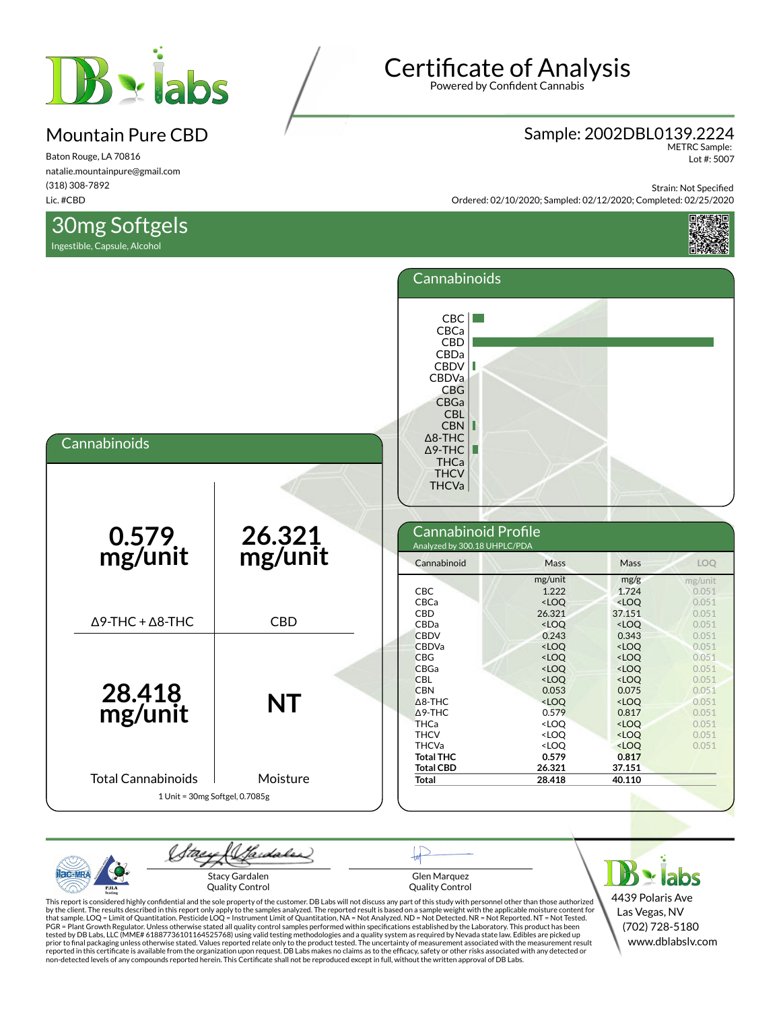

Baton Rouge, LA 70816 natalie.mountainpure@gmail.com (318) 308-7892 Lic. #CBD

30mg Softgels

Ingestible, Capsule, Alcohol

#### Sample: 2002DBL0139.2224

METRC Sample: Lot #: 5007

Strain: Not Specified

Ordered: 02/10/2020; Sampled: 02/12/2020; Completed: 02/25/2020



|                                                             |                   | Cannabinoids                                                                                                                                                                                          |                                                                                                                                                                |                                                                                                                                                                              |                                                                                                 |
|-------------------------------------------------------------|-------------------|-------------------------------------------------------------------------------------------------------------------------------------------------------------------------------------------------------|----------------------------------------------------------------------------------------------------------------------------------------------------------------|------------------------------------------------------------------------------------------------------------------------------------------------------------------------------|-------------------------------------------------------------------------------------------------|
| Cannabinoids                                                |                   | CBC<br>CBCa<br>CBD<br>CBDa<br><b>CBDV</b><br>Ш<br>CBDVa<br><b>CBG</b><br>CBGa<br><b>CBL</b><br><b>CBN</b><br>Ш<br>$\Delta$ 8-THC<br>Г<br>$\Delta$ 9-THC<br><b>THCa</b><br><b>THCV</b><br><b>THCVa</b> |                                                                                                                                                                |                                                                                                                                                                              |                                                                                                 |
| 0.579<br>mg/unit                                            | 26.321<br>mg/unit | Cannabinoid Profile<br>Analyzed by 300.18 UHPLC/PDA<br>Cannabinoid                                                                                                                                    | Mass                                                                                                                                                           | Mass                                                                                                                                                                         | LOQ                                                                                             |
| $\Delta$ 9-THC + $\Delta$ 8-THC                             | <b>CBD</b>        | CBC<br>CBCa<br>CBD<br>CBDa                                                                                                                                                                            | mg/unit<br>1.222<br>$<$ LOQ<br>26.321<br>$<$ LOQ                                                                                                               | mg/g<br>1.724<br><loq<br>37.151<br/><math>&lt;</math>LOQ</loq<br>                                                                                                            | mg/unit<br>0.051<br>0.051<br>0.051<br>0.051                                                     |
| 28.418<br>mg/unit                                           | <b>NT</b>         | <b>CBDV</b><br><b>CBDVa</b><br><b>CBG</b><br><b>CBGa</b><br><b>CBL</b><br><b>CBN</b><br>$\Delta$ 8-THC<br>$\Delta$ 9-THC<br><b>THCa</b><br><b>THCV</b><br><b>THCVa</b><br><b>Total THC</b>            | 0.243<br>$<$ LOQ<br>$<$ LOQ<br><loq<br><loq<br>0.053<br/><loq<br>0.579<br/><loq<br><loq<br><loq<br>0.579</loq<br></loq<br></loq<br></loq<br></loq<br></loq<br> | 0.343<br>$<$ LOQ<br><loq<br><loq<br><math>&lt;</math>LOQ<br/>0.075<br/><loq<br>0.817<br/><loq<br><loq<br><loq<br>0.817</loq<br></loq<br></loq<br></loq<br></loq<br></loq<br> | 0.051<br>0.051<br>0.051<br>0.051<br>0.051<br>0.051<br>0.051<br>0.051<br>0.051<br>0.051<br>0.051 |
| <b>Total Cannabinoids</b><br>1 Unit = 30mg Softgel, 0.7085g | Moisture          | <b>Total CBD</b><br><b>Total</b>                                                                                                                                                                      | 26.321<br>28.418                                                                                                                                               | 37.151<br>40.110                                                                                                                                                             |                                                                                                 |

Gardaler tae Stacy Gardalen Glen Marquez Quality Control Quality Control PJLA

This report is considered highly confidential and the sole property of the customer. DB Labs will not discuss any part of this study with personnel other than those authorized<br>by the client. The results described in this r

4439 Polaris Ave Las Vegas, NV (702) 728-5180 www.dblabslv.com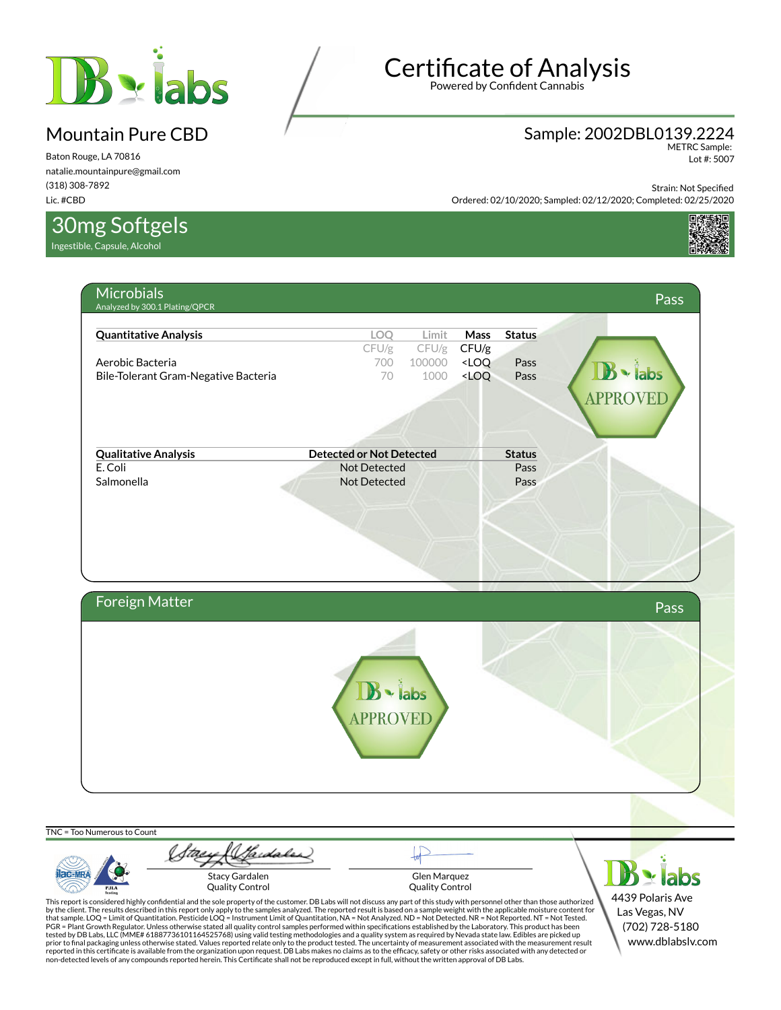

Baton Rouge, LA 70816 natalie.mountainpure@gmail.com (318) 308-7892 Lic. #CBD

30mg Softgels

Ingestible, Capsule, Alcohol

# Certificate of Analysis

Powered by Confident Cannabis

#### Sample: 2002DBL0139.2224

METRC Sample: Lot #: 5007

Strain: Not Specified

Ordered: 02/10/2020; Sampled: 02/12/2020; Completed: 02/25/2020



| <b>Quantitative Analysis</b>           | LOQ                             | Limit         | <b>Mass</b> | <b>Status</b> |              |      |
|----------------------------------------|---------------------------------|---------------|-------------|---------------|--------------|------|
|                                        | CFU/g                           | $CFU/g$ CFU/g |             |               |              |      |
| Aerobic Bacteria                       | 700                             | 100000        | $<$ LOQ     | Pass          |              |      |
| Bile-Tolerant Gram-Negative Bacteria   | 70                              | 1000          | $<$ LOQ     | Pass          | $\cdot$ labs |      |
|                                        |                                 |               |             |               | APPROVED     |      |
|                                        |                                 |               |             |               |              |      |
|                                        |                                 |               |             |               |              |      |
|                                        | <b>Detected or Not Detected</b> |               |             | <b>Status</b> |              |      |
| <b>Qualitative Analysis</b><br>E. Coli | Not Detected                    |               |             | Pass          |              |      |
| Salmonella                             | Not Detected                    |               |             | Pass          |              |      |
|                                        |                                 |               |             |               |              |      |
|                                        |                                 |               |             |               |              |      |
|                                        |                                 |               |             |               |              |      |
|                                        |                                 |               |             |               |              |      |
|                                        |                                 |               |             |               |              |      |
|                                        |                                 |               |             |               |              |      |
|                                        |                                 |               |             |               |              |      |
|                                        |                                 |               |             |               |              |      |
|                                        |                                 |               |             |               |              |      |
|                                        |                                 |               |             |               |              | Pass |
|                                        |                                 |               |             |               |              |      |
|                                        |                                 |               |             |               |              |      |
|                                        |                                 |               |             |               |              |      |
|                                        |                                 |               |             |               |              |      |
| Foreign Matter                         | $\mathbf{B}$ - labs             |               |             |               |              |      |
|                                        |                                 |               |             |               |              |      |
|                                        | APPROVED                        |               |             |               |              |      |
|                                        |                                 |               |             |               |              |      |
|                                        |                                 |               |             |               |              |      |

TNC = Too Numerous to Count Stary (Sadales)  $B \times$ labs ilac-MR Stacy Gardalen Glen Marquez Quality Control Quality Control PJLA 4439 Polaris Ave Las Vegas, NV

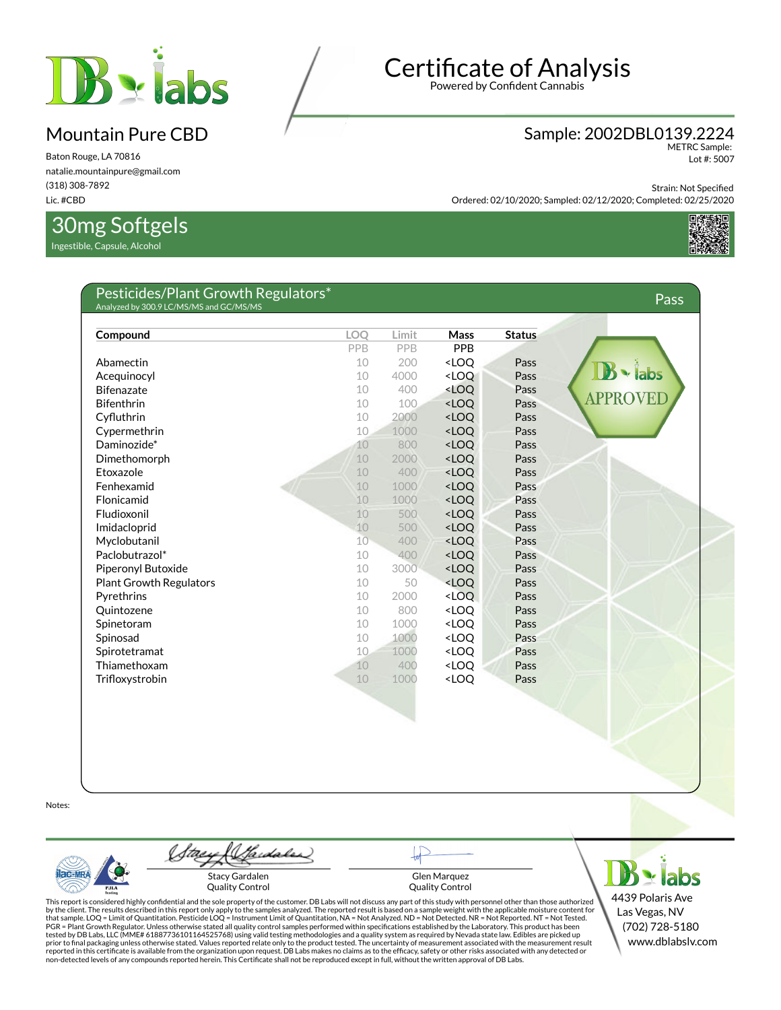

Baton Rouge, LA 70816 natalie.mountainpure@gmail.com (318) 308-7892 Lic. #CBD

### 30mg Softgels

Ingestible, Capsule, Alcohol

# Certificate of Analysis

Powered by Confident Cannabis

#### Sample: 2002DBL0139.2224

METRC Sample: Lot #: 5007

Strain: Not Specified

Ordered: 02/10/2020; Sampled: 02/12/2020; Completed: 02/25/2020



| Compound                       | <b>LOO</b> | Limit      | <b>Mass</b>                                              | <b>Status</b> |                 |
|--------------------------------|------------|------------|----------------------------------------------------------|---------------|-----------------|
|                                | PPB        | <b>PPB</b> | PPB                                                      |               |                 |
| Abamectin                      | 10         | 200        | <loq< td=""><td>Pass</td><td></td></loq<>                | Pass          |                 |
| Acequinocyl                    | 10         | 4000       | <loq< td=""><td>Pass</td><td>labs</td></loq<>            | Pass          | labs            |
| <b>Bifenazate</b>              | 10         | 400        | <loq< td=""><td>Pass</td><td></td></loq<>                | Pass          |                 |
| <b>Bifenthrin</b>              | 10         | 100        | <loq< td=""><td>Pass</td><td><b>APPROVEI</b></td></loq<> | Pass          | <b>APPROVEI</b> |
| Cyfluthrin                     | 10         | 2000       | <loq< td=""><td>Pass</td><td></td></loq<>                | Pass          |                 |
| Cypermethrin                   | 10         | 1000       | <loq< td=""><td>Pass</td><td></td></loq<>                | Pass          |                 |
| Daminozide*                    | 10         | 800        | $<$ LOQ                                                  | Pass          |                 |
| Dimethomorph                   | 10         | 2000       | <loq< td=""><td>Pass</td><td></td></loq<>                | Pass          |                 |
| Etoxazole                      | 10         | 400        | <loq< td=""><td>Pass</td><td></td></loq<>                | Pass          |                 |
| Fenhexamid                     | 10         | 1000       | <loq< td=""><td>Pass</td><td></td></loq<>                | Pass          |                 |
| Flonicamid                     | 10         | 1000       | $<$ LOQ                                                  | Pass          |                 |
| Fludioxonil                    | 10         | 500        | <loq< td=""><td>Pass</td><td></td></loq<>                | Pass          |                 |
| Imidacloprid                   | 10         | 500        | $<$ LOQ                                                  | Pass          |                 |
| Myclobutanil                   | 10         | 400        | $<$ LOQ                                                  | Pass          |                 |
| Paclobutrazol*                 | 10         | 400        | $<$ LOQ                                                  | Pass          |                 |
| Piperonyl Butoxide             | 10         | 3000       | $<$ LOQ                                                  | Pass          |                 |
| <b>Plant Growth Regulators</b> | 10         | 50         | <loq< td=""><td>Pass</td><td></td></loq<>                | Pass          |                 |
| Pyrethrins                     | 10         | 2000       | $<$ LOQ                                                  | Pass          |                 |
| Quintozene                     | 10         | 800        | $<$ LOQ                                                  | Pass          |                 |
| Spinetoram                     | 10         | 1000       | <loq< td=""><td>Pass</td><td></td></loq<>                | Pass          |                 |
| Spinosad                       | 10         | 1000       | <loq< td=""><td>Pass</td><td></td></loq<>                | Pass          |                 |
| Spirotetramat                  | 10         | 1000       | <loq< td=""><td>Pass</td><td></td></loq<>                | Pass          |                 |
| Thiamethoxam                   | 10         | 400        | <loq< td=""><td>Pass</td><td></td></loq<>                | Pass          |                 |
| Trifloxystrobin                | 10         | 1000       | <loq< td=""><td>Pass</td><td></td></loq<>                | Pass          |                 |

Notes:



Hardaler Stacy Gardalen Quality Control

Glen Marquez Quality Control

 $B$  x labs 4439 Polaris Ave Las Vegas, NV (702) 728-5180 www.dblabslv.com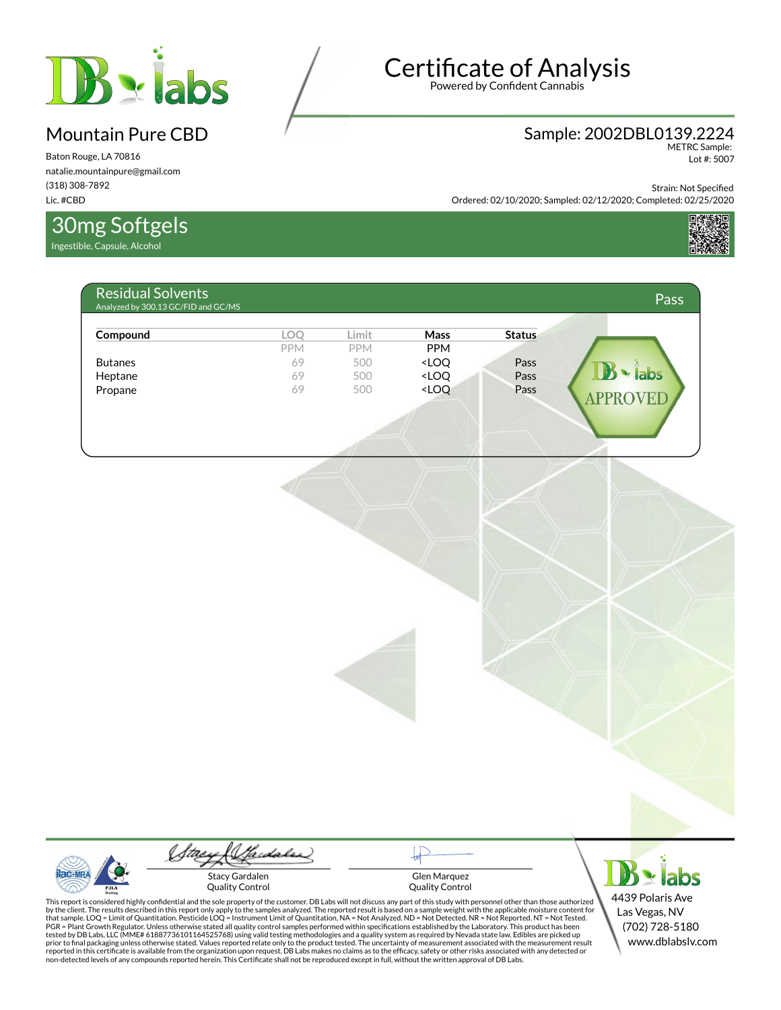

Baton Rouge, LA 70816 natalie.mountainpure@gmail.com (318) 308-7892 Lic. #CBD

30mg Softgels

Ingestible, Capsule, Alcohol

# Certificate of Analysis

Powered by Confident Cannabis

# Sample: 2002DBL0139.2224 METRC Sample:

Lot #: 5007

Strain: Not Specified

Ordered: 02/10/2020; Sampled: 02/12/2020; Completed: 02/25/2020



| Compound       | LOQ        | Limit      | Mass                                                                    | <b>Status</b> |                     |
|----------------|------------|------------|-------------------------------------------------------------------------|---------------|---------------------|
|                | <b>PPM</b> | <b>PPM</b> | PPM                                                                     |               |                     |
| <b>Butanes</b> | 69         | 500        | <loq< td=""><td>Pass</td><td></td></loq<>                               | Pass          |                     |
| Heptane        | 69         | 500        | <loq< td=""><td>Pass</td><td><math>\mathbf{B}</math> - labs</td></loq<> | Pass          | $\mathbf{B}$ - labs |
| Propane        | 69         | 500        | <loq< td=""><td>Pass</td><td><b>APPROVED</b></td></loq<>                | Pass          | <b>APPROVED</b>     |
|                |            |            |                                                                         |               |                     |
|                |            |            |                                                                         |               |                     |

Gardaler Stacy Gardalen Quality Control

Glen Marquez Quality Control